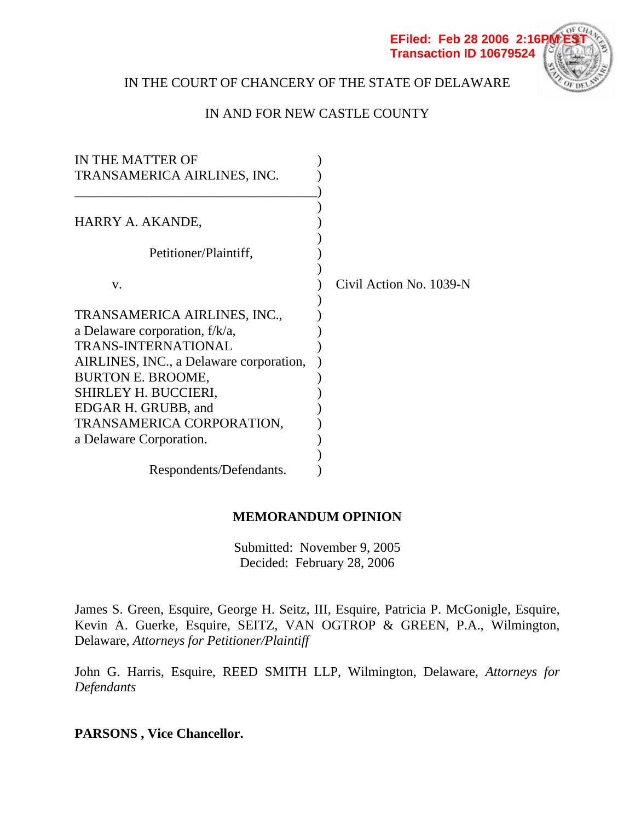

# IN THE COURT OF CHANCERY OF THE STATE OF DELAWARE

## IN AND FOR NEW CASTLE COUNTY

| IN THE MATTER OF                        |                         |
|-----------------------------------------|-------------------------|
| TRANSAMERICA AIRLINES, INC.             |                         |
|                                         |                         |
|                                         |                         |
| HARRY A. AKANDE,                        |                         |
|                                         |                         |
| Petitioner/Plaintiff,                   |                         |
|                                         |                         |
| V.                                      | Civil Action No. 1039-N |
|                                         |                         |
| TRANSAMERICA AIRLINES, INC.,            |                         |
| a Delaware corporation, $f/k/a$ ,       |                         |
| <b>TRANS-INTERNATIONAL</b>              |                         |
| AIRLINES, INC., a Delaware corporation, |                         |
| <b>BURTON E. BROOME,</b>                |                         |
| SHIRLEY H. BUCCIERI,                    |                         |
| EDGAR H. GRUBB, and                     |                         |
| TRANSAMERICA CORPORATION,               |                         |
| a Delaware Corporation.                 |                         |
|                                         |                         |
| Respondents/Defendants.                 |                         |

## **MEMORANDUM OPINION**

Submitted: November 9, 2005 Decided: February 28, 2006

James S. Green, Esquire, George H. Seitz, III, Esquire, Patricia P. McGonigle, Esquire, Kevin A. Guerke, Esquire, SEITZ, VAN OGTROP & GREEN, P.A., Wilmington, Delaware, *Attorneys for Petitioner/Plaintiff*

John G. Harris, Esquire, REED SMITH LLP, Wilmington, Delaware, *Attorneys for Defendants*

**PARSONS , Vice Chancellor.**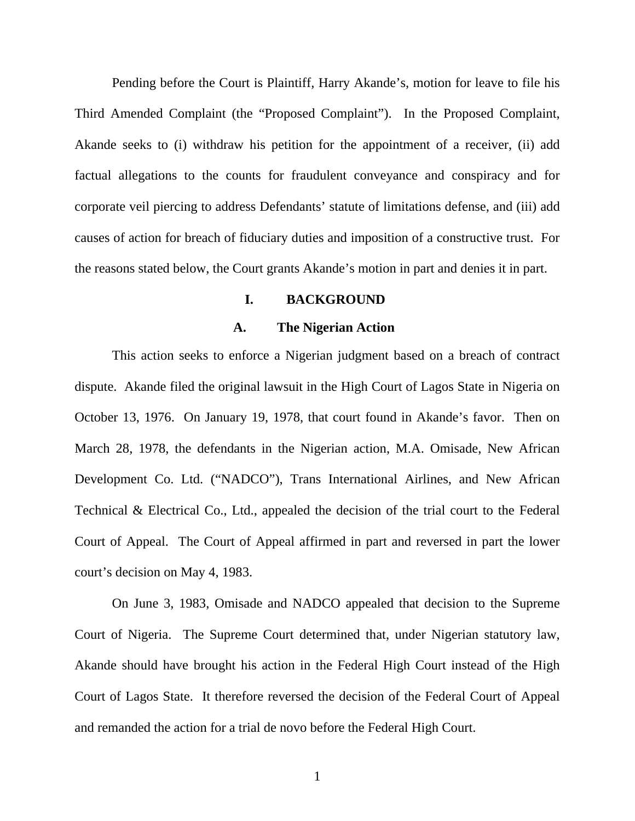Pending before the Court is Plaintiff, Harry Akande's, motion for leave to file his Third Amended Complaint (the "Proposed Complaint"). In the Proposed Complaint, Akande seeks to (i) withdraw his petition for the appointment of a receiver, (ii) add factual allegations to the counts for fraudulent conveyance and conspiracy and for corporate veil piercing to address Defendants' statute of limitations defense, and (iii) add causes of action for breach of fiduciary duties and imposition of a constructive trust. For the reasons stated below, the Court grants Akande's motion in part and denies it in part.

#### **I. BACKGROUND**

#### **A. The Nigerian Action**

This action seeks to enforce a Nigerian judgment based on a breach of contract dispute. Akande filed the original lawsuit in the High Court of Lagos State in Nigeria on October 13, 1976. On January 19, 1978, that court found in Akande's favor. Then on March 28, 1978, the defendants in the Nigerian action, M.A. Omisade, New African Development Co. Ltd. ("NADCO"), Trans International Airlines, and New African Technical & Electrical Co., Ltd., appealed the decision of the trial court to the Federal Court of Appeal. The Court of Appeal affirmed in part and reversed in part the lower court's decision on May 4, 1983.

On June 3, 1983, Omisade and NADCO appealed that decision to the Supreme Court of Nigeria. The Supreme Court determined that, under Nigerian statutory law, Akande should have brought his action in the Federal High Court instead of the High Court of Lagos State. It therefore reversed the decision of the Federal Court of Appeal and remanded the action for a trial de novo before the Federal High Court.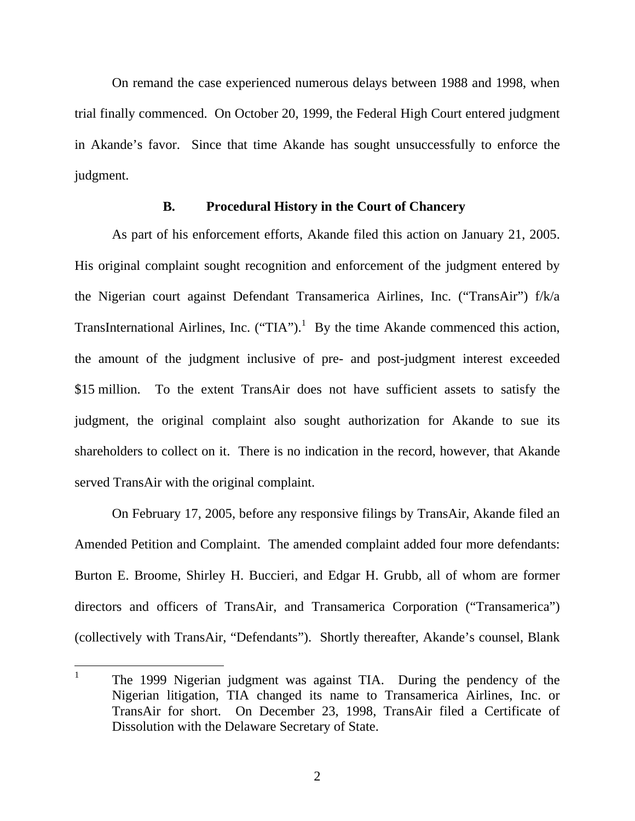On remand the case experienced numerous delays between 1988 and 1998, when trial finally commenced. On October 20, 1999, the Federal High Court entered judgment in Akande's favor. Since that time Akande has sought unsuccessfully to enforce the judgment.

### **B. Procedural History in the Court of Chancery**

As part of his enforcement efforts, Akande filed this action on January 21, 2005. His original complaint sought recognition and enforcement of the judgment entered by the Nigerian court against Defendant Transamerica Airlines, Inc. ("TransAir") f/k/a TransInternational Airlines, Inc. ("TIA").<sup>1</sup> By the time Akande commenced this action, the amount of the judgment inclusive of pre- and post-judgment interest exceeded \$15 million. To the extent TransAir does not have sufficient assets to satisfy the judgment, the original complaint also sought authorization for Akande to sue its shareholders to collect on it. There is no indication in the record, however, that Akande served TransAir with the original complaint.

On February 17, 2005, before any responsive filings by TransAir, Akande filed an Amended Petition and Complaint. The amended complaint added four more defendants: Burton E. Broome, Shirley H. Buccieri, and Edgar H. Grubb, all of whom are former directors and officers of TransAir, and Transamerica Corporation ("Transamerica") (collectively with TransAir, "Defendants"). Shortly thereafter, Akande's counsel, Blank

 $\overline{a}$ 

2

<sup>1</sup> The 1999 Nigerian judgment was against TIA. During the pendency of the Nigerian litigation, TIA changed its name to Transamerica Airlines, Inc. or TransAir for short. On December 23, 1998, TransAir filed a Certificate of Dissolution with the Delaware Secretary of State.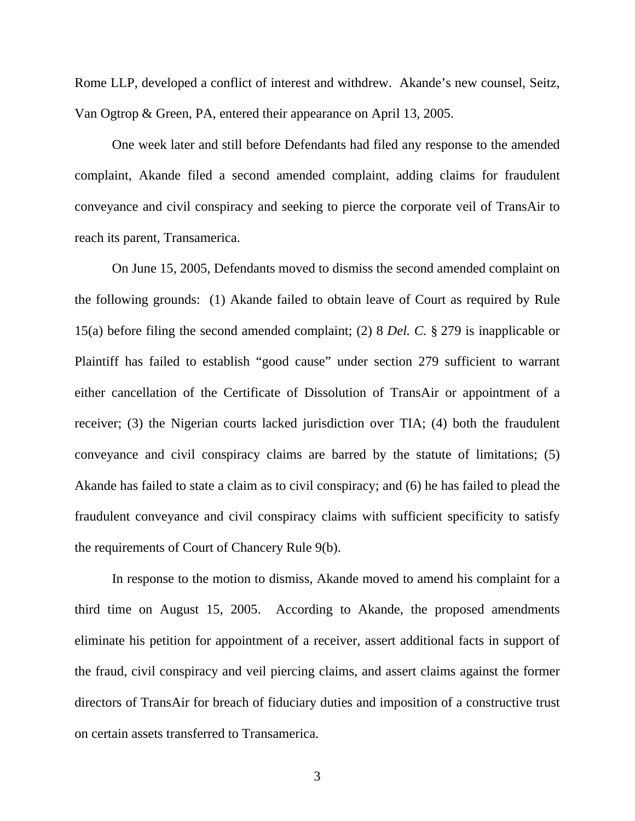Rome LLP, developed a conflict of interest and withdrew. Akande's new counsel, Seitz, Van Ogtrop & Green, PA, entered their appearance on April 13, 2005.

One week later and still before Defendants had filed any response to the amended complaint, Akande filed a second amended complaint, adding claims for fraudulent conveyance and civil conspiracy and seeking to pierce the corporate veil of TransAir to reach its parent, Transamerica.

On June 15, 2005, Defendants moved to dismiss the second amended complaint on the following grounds: (1) Akande failed to obtain leave of Court as required by Rule 15(a) before filing the second amended complaint; (2) 8 *Del. C.* § 279 is inapplicable or Plaintiff has failed to establish "good cause" under section 279 sufficient to warrant either cancellation of the Certificate of Dissolution of TransAir or appointment of a receiver; (3) the Nigerian courts lacked jurisdiction over TIA; (4) both the fraudulent conveyance and civil conspiracy claims are barred by the statute of limitations; (5) Akande has failed to state a claim as to civil conspiracy; and (6) he has failed to plead the fraudulent conveyance and civil conspiracy claims with sufficient specificity to satisfy the requirements of Court of Chancery Rule 9(b).

In response to the motion to dismiss, Akande moved to amend his complaint for a third time on August 15, 2005. According to Akande, the proposed amendments eliminate his petition for appointment of a receiver, assert additional facts in support of the fraud, civil conspiracy and veil piercing claims, and assert claims against the former directors of TransAir for breach of fiduciary duties and imposition of a constructive trust on certain assets transferred to Transamerica.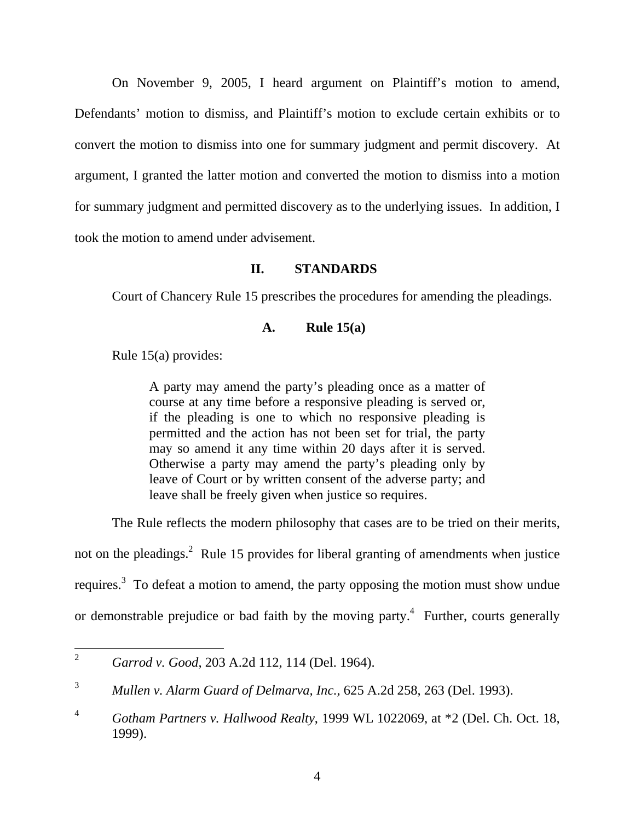On November 9, 2005, I heard argument on Plaintiff's motion to amend, Defendants' motion to dismiss, and Plaintiff's motion to exclude certain exhibits or to convert the motion to dismiss into one for summary judgment and permit discovery. At argument, I granted the latter motion and converted the motion to dismiss into a motion for summary judgment and permitted discovery as to the underlying issues. In addition, I took the motion to amend under advisement.

### **II. STANDARDS**

Court of Chancery Rule 15 prescribes the procedures for amending the pleadings.

## **A. Rule 15(a)**

Rule 15(a) provides:

A party may amend the party's pleading once as a matter of course at any time before a responsive pleading is served or, if the pleading is one to which no responsive pleading is permitted and the action has not been set for trial, the party may so amend it any time within 20 days after it is served. Otherwise a party may amend the party's pleading only by leave of Court or by written consent of the adverse party; and leave shall be freely given when justice so requires.

The Rule reflects the modern philosophy that cases are to be tried on their merits,

not on the pleadings.<sup>2</sup> Rule 15 provides for liberal granting of amendments when justice requires.<sup>3</sup> To defeat a motion to amend, the party opposing the motion must show undue or demonstrable prejudice or bad faith by the moving party.<sup>4</sup> Further, courts generally

 $\overline{2}$ <sup>2</sup> *Garrod v. Good*, 203 A.2d 112, 114 (Del. 1964).

<sup>3</sup> *Mullen v. Alarm Guard of Delmarva, Inc.*, 625 A.2d 258, 263 (Del. 1993).

<sup>4</sup> *Gotham Partners v. Hallwood Realty*, 1999 WL 1022069, at \*2 (Del. Ch. Oct. 18, 1999).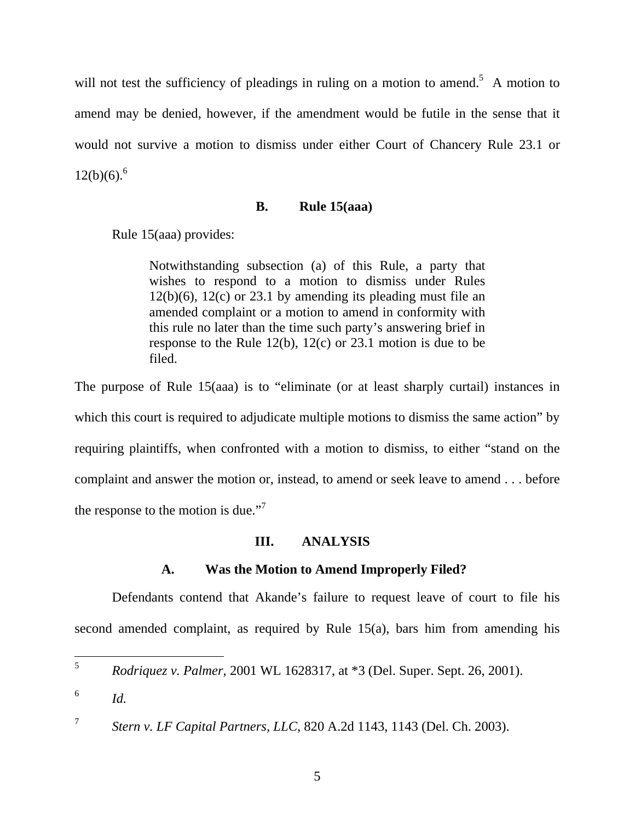will not test the sufficiency of pleadings in ruling on a motion to amend.<sup>5</sup> A motion to amend may be denied, however, if the amendment would be futile in the sense that it would not survive a motion to dismiss under either Court of Chancery Rule 23.1 or  $12(b)(6).^{6}$ 

#### **B. Rule 15(aaa)**

Rule 15(aaa) provides:

Notwithstanding subsection (a) of this Rule, a party that wishes to respond to a motion to dismiss under Rules  $12(b)(6)$ ,  $12(c)$  or 23.1 by amending its pleading must file an amended complaint or a motion to amend in conformity with this rule no later than the time such party's answering brief in response to the Rule 12(b), 12(c) or 23.1 motion is due to be filed.

The purpose of Rule 15(aaa) is to "eliminate (or at least sharply curtail) instances in which this court is required to adjudicate multiple motions to dismiss the same action" by requiring plaintiffs, when confronted with a motion to dismiss, to either "stand on the complaint and answer the motion or, instead, to amend or seek leave to amend . . . before the response to the motion is due."<sup>7</sup>

## **III. ANALYSIS**

## **A. Was the Motion to Amend Improperly Filed?**

Defendants contend that Akande's failure to request leave of court to file his second amended complaint, as required by Rule 15(a), bars him from amending his

 $5<sup>1</sup>$ <sup>5</sup> *Rodriquez v. Palmer*, 2001 WL 1628317, at \*3 (Del. Super. Sept. 26, 2001).

 $\frac{6}{d}$  *Id.* 

<sup>7</sup> *Stern v. LF Capital Partners, LLC*, 820 A.2d 1143, 1143 (Del. Ch. 2003).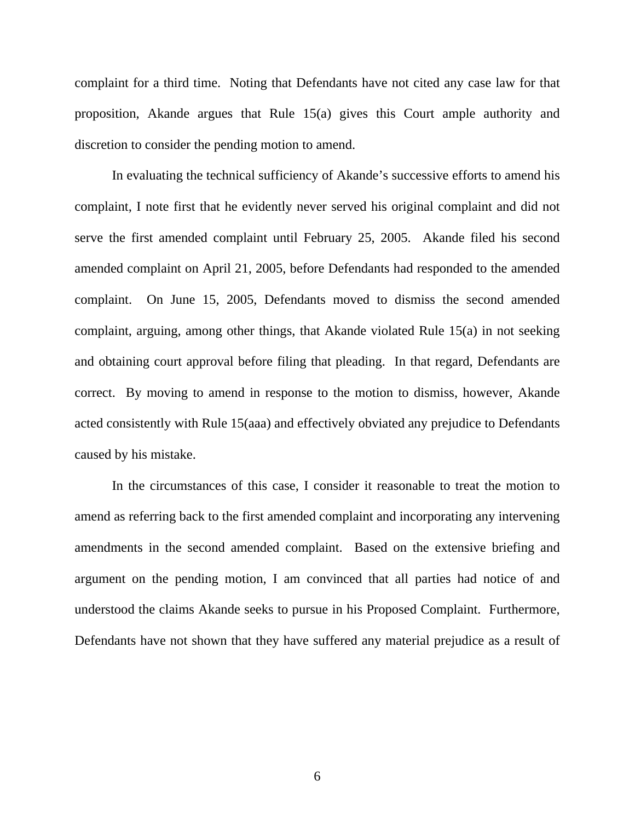complaint for a third time. Noting that Defendants have not cited any case law for that proposition, Akande argues that Rule 15(a) gives this Court ample authority and discretion to consider the pending motion to amend.

In evaluating the technical sufficiency of Akande's successive efforts to amend his complaint, I note first that he evidently never served his original complaint and did not serve the first amended complaint until February 25, 2005. Akande filed his second amended complaint on April 21, 2005, before Defendants had responded to the amended complaint. On June 15, 2005, Defendants moved to dismiss the second amended complaint, arguing, among other things, that Akande violated Rule 15(a) in not seeking and obtaining court approval before filing that pleading. In that regard, Defendants are correct. By moving to amend in response to the motion to dismiss, however, Akande acted consistently with Rule 15(aaa) and effectively obviated any prejudice to Defendants caused by his mistake.

In the circumstances of this case, I consider it reasonable to treat the motion to amend as referring back to the first amended complaint and incorporating any intervening amendments in the second amended complaint. Based on the extensive briefing and argument on the pending motion, I am convinced that all parties had notice of and understood the claims Akande seeks to pursue in his Proposed Complaint. Furthermore, Defendants have not shown that they have suffered any material prejudice as a result of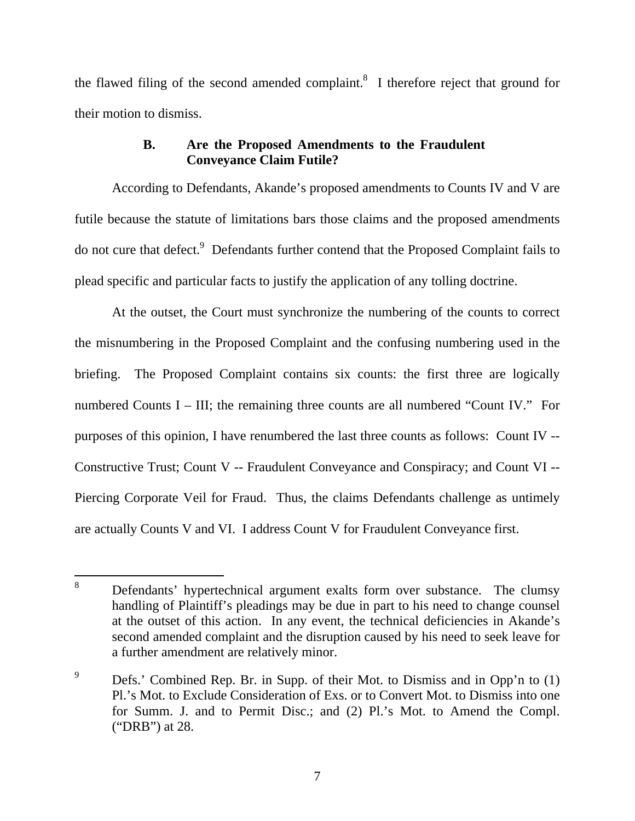the flawed filing of the second amended complaint. $\delta$  I therefore reject that ground for their motion to dismiss.

## **B. Are the Proposed Amendments to the Fraudulent Conveyance Claim Futile?**

According to Defendants, Akande's proposed amendments to Counts IV and V are futile because the statute of limitations bars those claims and the proposed amendments do not cure that defect.<sup>9</sup> Defendants further contend that the Proposed Complaint fails to plead specific and particular facts to justify the application of any tolling doctrine.

At the outset, the Court must synchronize the numbering of the counts to correct the misnumbering in the Proposed Complaint and the confusing numbering used in the briefing. The Proposed Complaint contains six counts: the first three are logically numbered Counts I – III; the remaining three counts are all numbered "Count IV." For purposes of this opinion, I have renumbered the last three counts as follows: Count IV -- Constructive Trust; Count V -- Fraudulent Conveyance and Conspiracy; and Count VI -- Piercing Corporate Veil for Fraud. Thus, the claims Defendants challenge as untimely are actually Counts V and VI. I address Count V for Fraudulent Conveyance first.

 $\overline{a}$ 

<sup>8</sup> Defendants' hypertechnical argument exalts form over substance. The clumsy handling of Plaintiff's pleadings may be due in part to his need to change counsel at the outset of this action. In any event, the technical deficiencies in Akande's second amended complaint and the disruption caused by his need to seek leave for a further amendment are relatively minor.

<sup>9</sup> Defs.' Combined Rep. Br. in Supp. of their Mot. to Dismiss and in Opp'n to (1) Pl.'s Mot. to Exclude Consideration of Exs. or to Convert Mot. to Dismiss into one for Summ. J. and to Permit Disc.; and (2) Pl.'s Mot. to Amend the Compl. ("DRB") at 28.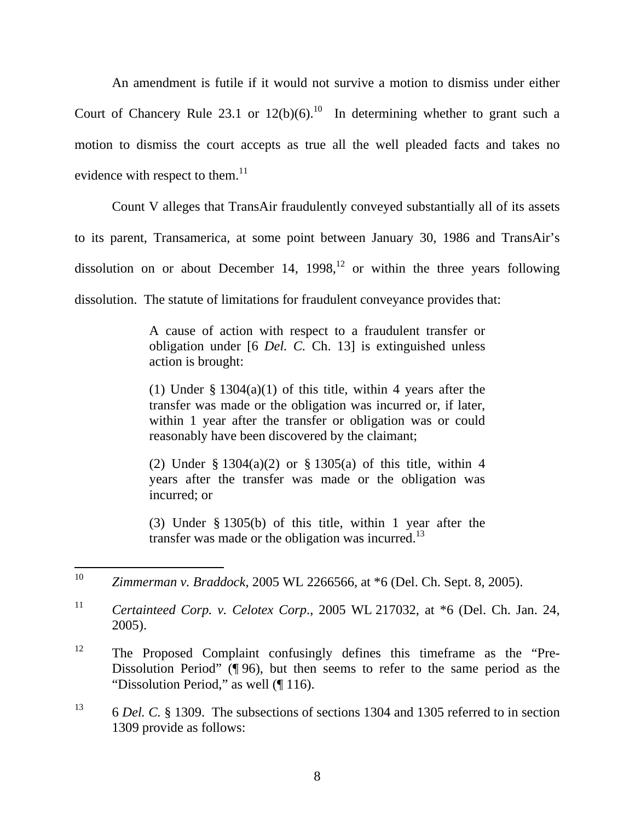An amendment is futile if it would not survive a motion to dismiss under either Court of Chancery Rule 23.1 or  $12(b)(6)$ .<sup>10</sup> In determining whether to grant such a motion to dismiss the court accepts as true all the well pleaded facts and takes no evidence with respect to them.<sup>11</sup>

Count V alleges that TransAir fraudulently conveyed substantially all of its assets to its parent, Transamerica, at some point between January 30, 1986 and TransAir's dissolution on or about December 14, 1998,<sup>12</sup> or within the three years following dissolution. The statute of limitations for fraudulent conveyance provides that:

> A cause of action with respect to a fraudulent transfer or obligation under [6 *Del. C.* Ch. 13] is extinguished unless action is brought:

> (1) Under  $\S 1304(a)(1)$  of this title, within 4 years after the transfer was made or the obligation was incurred or, if later, within 1 year after the transfer or obligation was or could reasonably have been discovered by the claimant;

> (2) Under § 1304(a)(2) or § 1305(a) of this title, within 4 years after the transfer was made or the obligation was incurred; or

> (3) Under § 1305(b) of this title, within 1 year after the transfer was made or the obligation was incurred. $^{13}$

<sup>10</sup> <sup>10</sup> *Zimmerman v. Braddock*, 2005 WL 2266566, at \*6 (Del. Ch. Sept. 8, 2005).

<sup>11</sup> *Certainteed Corp. v. Celotex Corp*., 2005 WL 217032, at \*6 (Del. Ch. Jan. 24, 2005).

<sup>&</sup>lt;sup>12</sup> The Proposed Complaint confusingly defines this timeframe as the "Pre-Dissolution Period" (¶ 96), but then seems to refer to the same period as the "Dissolution Period," as well (¶ 116).

<sup>13 6</sup> *Del. C.* § 1309. The subsections of sections 1304 and 1305 referred to in section 1309 provide as follows: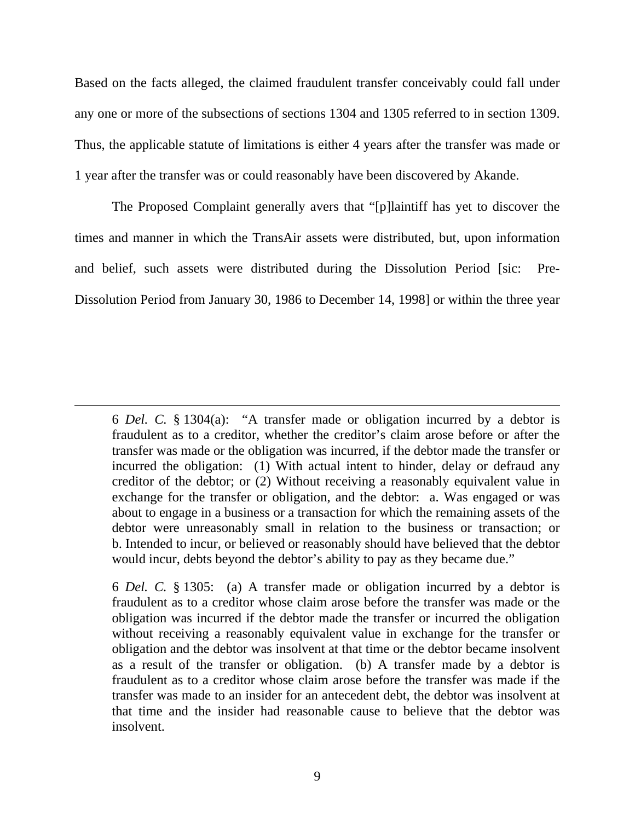Based on the facts alleged, the claimed fraudulent transfer conceivably could fall under any one or more of the subsections of sections 1304 and 1305 referred to in section 1309. Thus, the applicable statute of limitations is either 4 years after the transfer was made or 1 year after the transfer was or could reasonably have been discovered by Akande.

The Proposed Complaint generally avers that "[p]laintiff has yet to discover the times and manner in which the TransAir assets were distributed, but, upon information and belief, such assets were distributed during the Dissolution Period [sic: Pre-Dissolution Period from January 30, 1986 to December 14, 1998] or within the three year

 $\overline{a}$ 

 6 *Del. C.* § 1304(a): "A transfer made or obligation incurred by a debtor is fraudulent as to a creditor, whether the creditor's claim arose before or after the transfer was made or the obligation was incurred, if the debtor made the transfer or incurred the obligation: (1) With actual intent to hinder, delay or defraud any creditor of the debtor; or (2) Without receiving a reasonably equivalent value in exchange for the transfer or obligation, and the debtor: a. Was engaged or was about to engage in a business or a transaction for which the remaining assets of the debtor were unreasonably small in relation to the business or transaction; or b. Intended to incur, or believed or reasonably should have believed that the debtor would incur, debts beyond the debtor's ability to pay as they became due."

 6 *Del. C.* § 1305: (a) A transfer made or obligation incurred by a debtor is fraudulent as to a creditor whose claim arose before the transfer was made or the obligation was incurred if the debtor made the transfer or incurred the obligation without receiving a reasonably equivalent value in exchange for the transfer or obligation and the debtor was insolvent at that time or the debtor became insolvent as a result of the transfer or obligation. (b) A transfer made by a debtor is fraudulent as to a creditor whose claim arose before the transfer was made if the transfer was made to an insider for an antecedent debt, the debtor was insolvent at that time and the insider had reasonable cause to believe that the debtor was insolvent.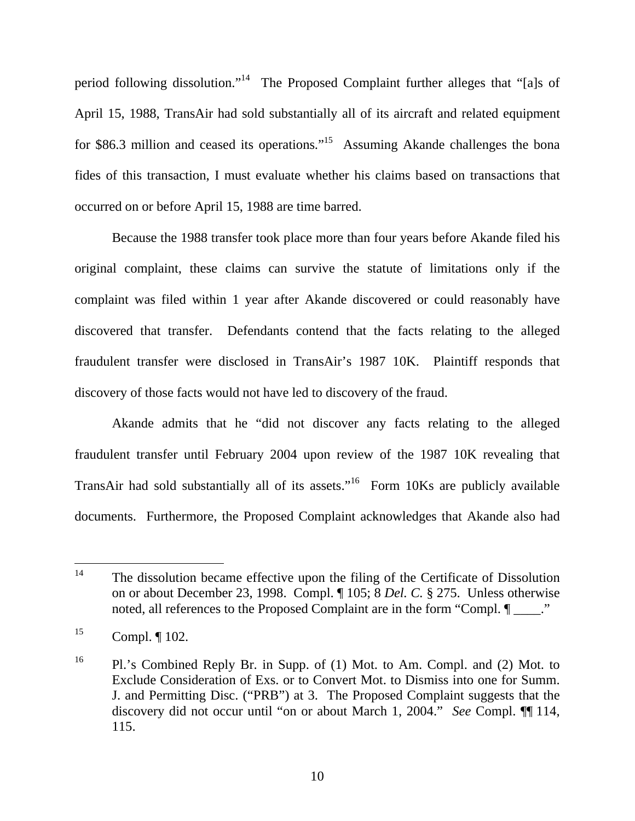period following dissolution."14 The Proposed Complaint further alleges that "[a]s of April 15, 1988, TransAir had sold substantially all of its aircraft and related equipment for \$86.3 million and ceased its operations."15 Assuming Akande challenges the bona fides of this transaction, I must evaluate whether his claims based on transactions that occurred on or before April 15, 1988 are time barred.

Because the 1988 transfer took place more than four years before Akande filed his original complaint, these claims can survive the statute of limitations only if the complaint was filed within 1 year after Akande discovered or could reasonably have discovered that transfer. Defendants contend that the facts relating to the alleged fraudulent transfer were disclosed in TransAir's 1987 10K. Plaintiff responds that discovery of those facts would not have led to discovery of the fraud.

Akande admits that he "did not discover any facts relating to the alleged fraudulent transfer until February 2004 upon review of the 1987 10K revealing that TransAir had sold substantially all of its assets."<sup>16</sup> Form 10Ks are publicly available documents. Furthermore, the Proposed Complaint acknowledges that Akande also had

<sup>14</sup> The dissolution became effective upon the filing of the Certificate of Dissolution on or about December 23, 1998. Compl. ¶ 105; 8 *Del. C.* § 275. Unless otherwise noted, all references to the Proposed Complaint are in the form "Compl.  $\P$  \_\_\_\_."

 $^{15}$  Compl.  $\llbracket 102 \ldots \rrbracket$ 

<sup>16</sup> Pl.'s Combined Reply Br. in Supp. of (1) Mot. to Am. Compl. and (2) Mot. to Exclude Consideration of Exs. or to Convert Mot. to Dismiss into one for Summ. J. and Permitting Disc. ("PRB") at 3. The Proposed Complaint suggests that the discovery did not occur until "on or about March 1, 2004." *See* Compl. ¶¶ 114, 115.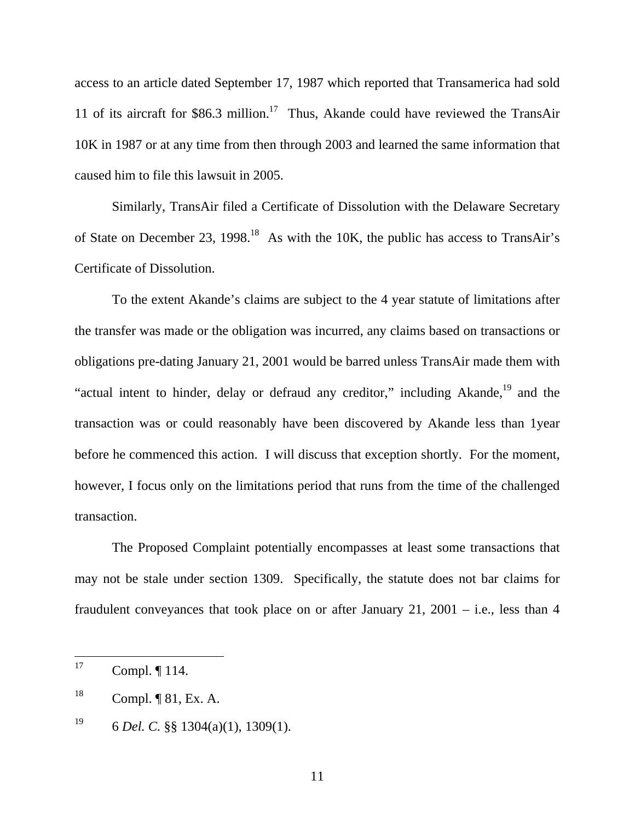access to an article dated September 17, 1987 which reported that Transamerica had sold 11 of its aircraft for \$86.3 million.<sup>17</sup> Thus, Akande could have reviewed the TransAir 10K in 1987 or at any time from then through 2003 and learned the same information that caused him to file this lawsuit in 2005.

Similarly, TransAir filed a Certificate of Dissolution with the Delaware Secretary of State on December 23, 1998.<sup>18</sup> As with the 10K, the public has access to TransAir's Certificate of Dissolution.

To the extent Akande's claims are subject to the 4 year statute of limitations after the transfer was made or the obligation was incurred, any claims based on transactions or obligations pre-dating January 21, 2001 would be barred unless TransAir made them with "actual intent to hinder, delay or defraud any creditor," including Akande, $^{19}$  and the transaction was or could reasonably have been discovered by Akande less than 1year before he commenced this action. I will discuss that exception shortly. For the moment, however, I focus only on the limitations period that runs from the time of the challenged transaction.

The Proposed Complaint potentially encompasses at least some transactions that may not be stale under section 1309. Specifically, the statute does not bar claims for fraudulent conveyances that took place on or after January 21, 2001 – i.e., less than  $4$ 

<sup>17</sup> Compl.  $\P$  114.

 $^{18}$  Compl. ¶ 81, Ex. A.

<sup>19 6</sup> *Del. C.* §§ 1304(a)(1), 1309(1).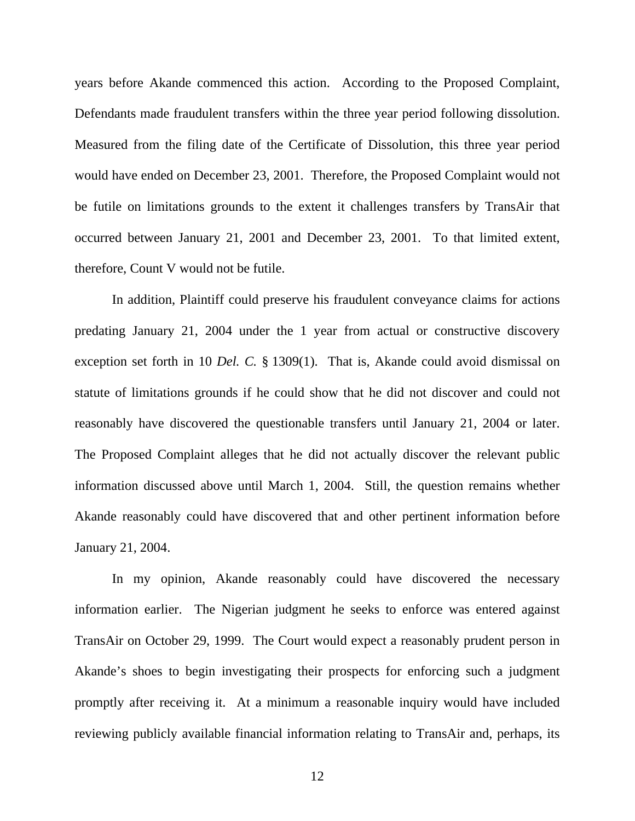years before Akande commenced this action. According to the Proposed Complaint, Defendants made fraudulent transfers within the three year period following dissolution. Measured from the filing date of the Certificate of Dissolution, this three year period would have ended on December 23, 2001. Therefore, the Proposed Complaint would not be futile on limitations grounds to the extent it challenges transfers by TransAir that occurred between January 21, 2001 and December 23, 2001. To that limited extent, therefore, Count V would not be futile.

In addition, Plaintiff could preserve his fraudulent conveyance claims for actions predating January 21, 2004 under the 1 year from actual or constructive discovery exception set forth in 10 *Del. C.* § 1309(1). That is, Akande could avoid dismissal on statute of limitations grounds if he could show that he did not discover and could not reasonably have discovered the questionable transfers until January 21, 2004 or later. The Proposed Complaint alleges that he did not actually discover the relevant public information discussed above until March 1, 2004. Still, the question remains whether Akande reasonably could have discovered that and other pertinent information before January 21, 2004.

In my opinion, Akande reasonably could have discovered the necessary information earlier. The Nigerian judgment he seeks to enforce was entered against TransAir on October 29, 1999. The Court would expect a reasonably prudent person in Akande's shoes to begin investigating their prospects for enforcing such a judgment promptly after receiving it. At a minimum a reasonable inquiry would have included reviewing publicly available financial information relating to TransAir and, perhaps, its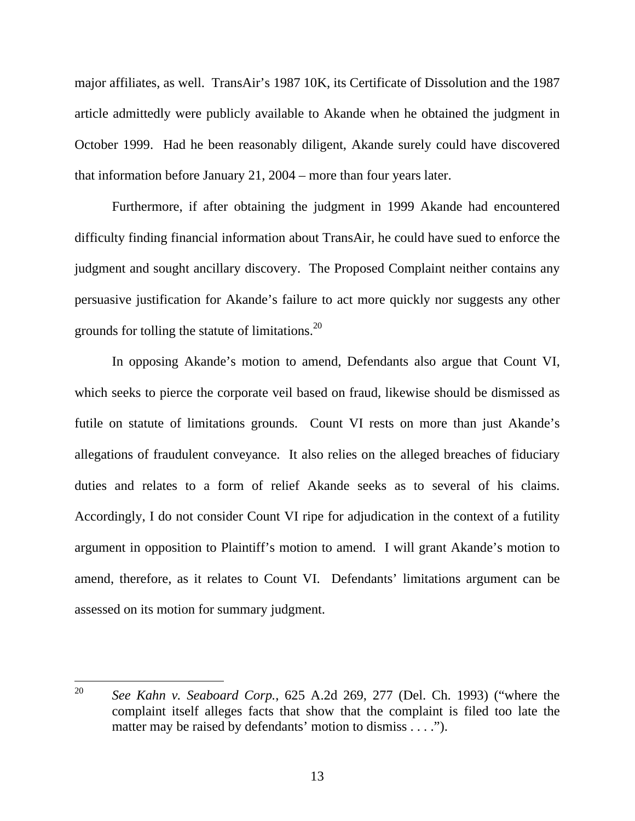major affiliates, as well. TransAir's 1987 10K, its Certificate of Dissolution and the 1987 article admittedly were publicly available to Akande when he obtained the judgment in October 1999. Had he been reasonably diligent, Akande surely could have discovered that information before January 21, 2004 – more than four years later.

Furthermore, if after obtaining the judgment in 1999 Akande had encountered difficulty finding financial information about TransAir, he could have sued to enforce the judgment and sought ancillary discovery. The Proposed Complaint neither contains any persuasive justification for Akande's failure to act more quickly nor suggests any other grounds for tolling the statute of limitations.<sup>20</sup>

In opposing Akande's motion to amend, Defendants also argue that Count VI, which seeks to pierce the corporate veil based on fraud, likewise should be dismissed as futile on statute of limitations grounds. Count VI rests on more than just Akande's allegations of fraudulent conveyance. It also relies on the alleged breaches of fiduciary duties and relates to a form of relief Akande seeks as to several of his claims. Accordingly, I do not consider Count VI ripe for adjudication in the context of a futility argument in opposition to Plaintiff's motion to amend. I will grant Akande's motion to amend, therefore, as it relates to Count VI. Defendants' limitations argument can be assessed on its motion for summary judgment.

<sup>20</sup> <sup>20</sup> *See Kahn v. Seaboard Corp.*, 625 A.2d 269, 277 (Del. Ch. 1993) ("where the complaint itself alleges facts that show that the complaint is filed too late the matter may be raised by defendants' motion to dismiss . . . .").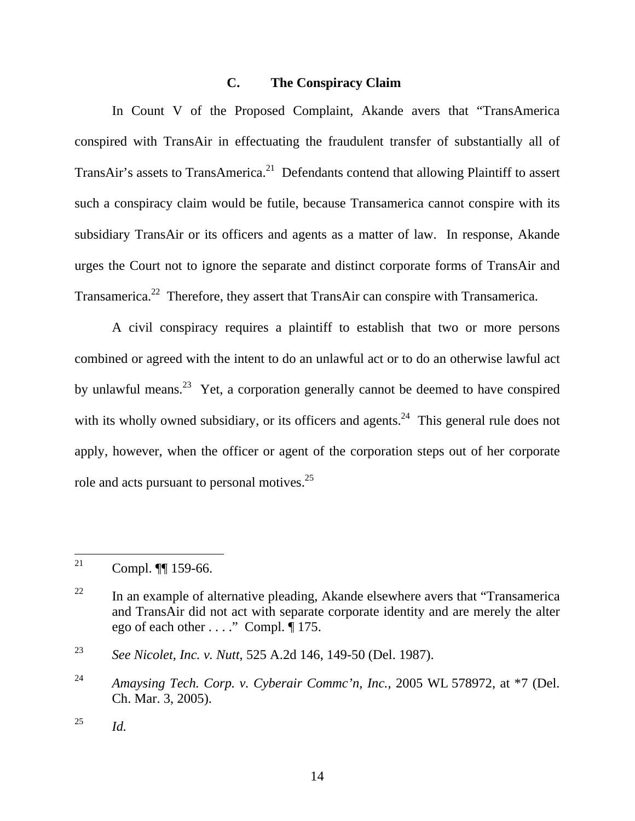## **C. The Conspiracy Claim**

In Count V of the Proposed Complaint, Akande avers that "TransAmerica conspired with TransAir in effectuating the fraudulent transfer of substantially all of TransAir's assets to TransAmerica.<sup>21</sup> Defendants contend that allowing Plaintiff to assert such a conspiracy claim would be futile, because Transamerica cannot conspire with its subsidiary TransAir or its officers and agents as a matter of law. In response, Akande urges the Court not to ignore the separate and distinct corporate forms of TransAir and Transamerica.<sup>22</sup> Therefore, they assert that TransAir can conspire with Transamerica.

A civil conspiracy requires a plaintiff to establish that two or more persons combined or agreed with the intent to do an unlawful act or to do an otherwise lawful act by unlawful means.<sup>23</sup> Yet, a corporation generally cannot be deemed to have conspired with its wholly owned subsidiary, or its officers and agents.<sup>24</sup> This general rule does not apply, however, when the officer or agent of the corporation steps out of her corporate role and acts pursuant to personal motives.<sup>25</sup>

<sup>21</sup> Compl. ¶[ 159-66.

 $22$  In an example of alternative pleading, Akande elsewhere avers that "Transamerica" and TransAir did not act with separate corporate identity and are merely the alter ego of each other . . . ." Compl.  $\overline{$  175.

<sup>23</sup> *See Nicolet, Inc. v. Nutt*, 525 A.2d 146, 149-50 (Del. 1987).

<sup>24</sup> *Amaysing Tech. Corp. v. Cyberair Commc'n, Inc.*, 2005 WL 578972, at \*7 (Del. Ch. Mar. 3, 2005).

<sup>25</sup> *Id.*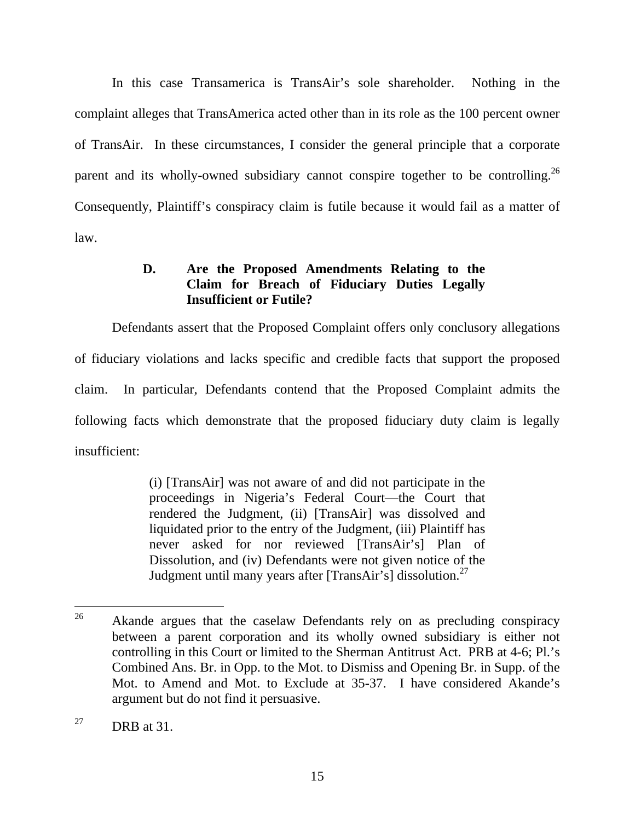In this case Transamerica is TransAir's sole shareholder. Nothing in the complaint alleges that TransAmerica acted other than in its role as the 100 percent owner of TransAir. In these circumstances, I consider the general principle that a corporate parent and its wholly-owned subsidiary cannot conspire together to be controlling.<sup>26</sup> Consequently, Plaintiff's conspiracy claim is futile because it would fail as a matter of law.

## **D. Are the Proposed Amendments Relating to the Claim for Breach of Fiduciary Duties Legally Insufficient or Futile?**

Defendants assert that the Proposed Complaint offers only conclusory allegations of fiduciary violations and lacks specific and credible facts that support the proposed claim. In particular, Defendants contend that the Proposed Complaint admits the following facts which demonstrate that the proposed fiduciary duty claim is legally insufficient:

> (i) [TransAir] was not aware of and did not participate in the proceedings in Nigeria's Federal Court—the Court that rendered the Judgment, (ii) [TransAir] was dissolved and liquidated prior to the entry of the Judgment, (iii) Plaintiff has never asked for nor reviewed [TransAir's] Plan of Dissolution, and (iv) Defendants were not given notice of the Judgment until many years after [TransAir's] dissolution.27

<sup>26</sup> Akande argues that the caselaw Defendants rely on as precluding conspiracy between a parent corporation and its wholly owned subsidiary is either not controlling in this Court or limited to the Sherman Antitrust Act. PRB at 4-6; Pl.'s Combined Ans. Br. in Opp. to the Mot. to Dismiss and Opening Br. in Supp. of the Mot. to Amend and Mot. to Exclude at 35-37. I have considered Akande's argument but do not find it persuasive.

<sup>&</sup>lt;sup>27</sup> DRB at 31.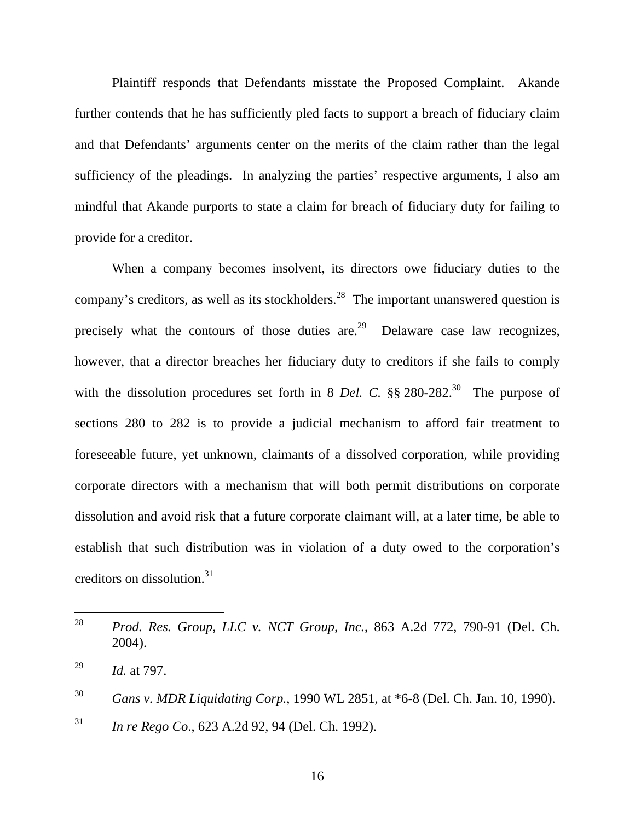Plaintiff responds that Defendants misstate the Proposed Complaint. Akande further contends that he has sufficiently pled facts to support a breach of fiduciary claim and that Defendants' arguments center on the merits of the claim rather than the legal sufficiency of the pleadings. In analyzing the parties' respective arguments, I also am mindful that Akande purports to state a claim for breach of fiduciary duty for failing to provide for a creditor.

When a company becomes insolvent, its directors owe fiduciary duties to the company's creditors, as well as its stockholders.<sup>28</sup> The important unanswered question is precisely what the contours of those duties are.<sup>29</sup> Delaware case law recognizes, however, that a director breaches her fiduciary duty to creditors if she fails to comply with the dissolution procedures set forth in 8 *Del. C.*  $\S$ § 280-282.<sup>30</sup> The purpose of sections 280 to 282 is to provide a judicial mechanism to afford fair treatment to foreseeable future, yet unknown, claimants of a dissolved corporation, while providing corporate directors with a mechanism that will both permit distributions on corporate dissolution and avoid risk that a future corporate claimant will, at a later time, be able to establish that such distribution was in violation of a duty owed to the corporation's creditors on dissolution.31

<sup>28</sup> <sup>28</sup> *Prod. Res. Group, LLC v. NCT Group, Inc.*, 863 A.2d 772, 790-91 (Del. Ch. 2004).

<sup>29</sup> *Id.* at 797.

<sup>30</sup> *Gans v. MDR Liquidating Corp.*, 1990 WL 2851, at \*6-8 (Del. Ch. Jan. 10, 1990).

<sup>31</sup> *In re Rego Co*., 623 A.2d 92, 94 (Del. Ch. 1992).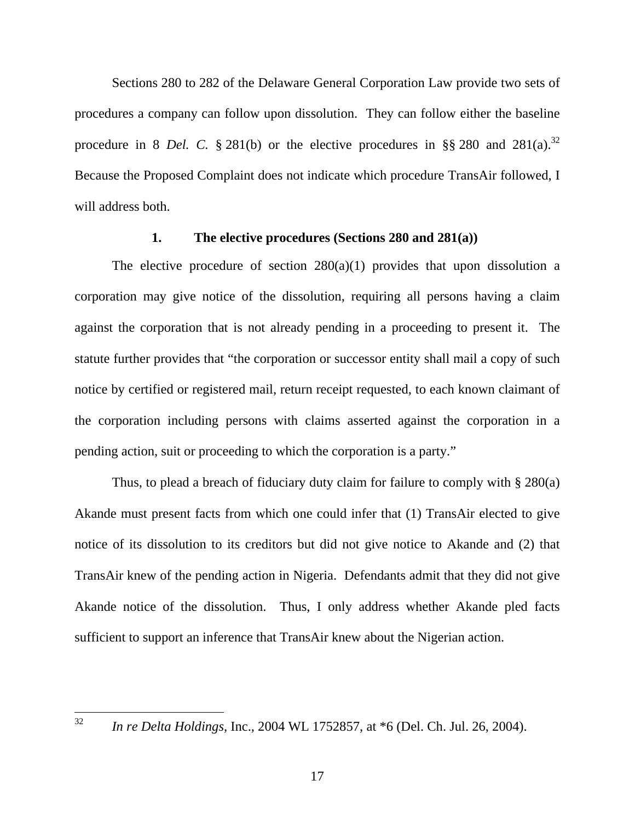Sections 280 to 282 of the Delaware General Corporation Law provide two sets of procedures a company can follow upon dissolution. They can follow either the baseline procedure in 8 *Del.* C.  $\S 281(b)$  or the elective procedures in  $\S § 280$  and  $281(a)$ .<sup>32</sup> Because the Proposed Complaint does not indicate which procedure TransAir followed, I will address both.

#### **1. The elective procedures (Sections 280 and 281(a))**

The elective procedure of section  $280(a)(1)$  provides that upon dissolution a corporation may give notice of the dissolution, requiring all persons having a claim against the corporation that is not already pending in a proceeding to present it. The statute further provides that "the corporation or successor entity shall mail a copy of such notice by certified or registered mail, return receipt requested, to each known claimant of the corporation including persons with claims asserted against the corporation in a pending action, suit or proceeding to which the corporation is a party."

Thus, to plead a breach of fiduciary duty claim for failure to comply with § 280(a) Akande must present facts from which one could infer that (1) TransAir elected to give notice of its dissolution to its creditors but did not give notice to Akande and (2) that TransAir knew of the pending action in Nigeria. Defendants admit that they did not give Akande notice of the dissolution. Thus, I only address whether Akande pled facts sufficient to support an inference that TransAir knew about the Nigerian action.

32

<sup>32</sup> *In re Delta Holdings*, Inc.*,* 2004 WL 1752857, at \*6 (Del. Ch. Jul. 26, 2004).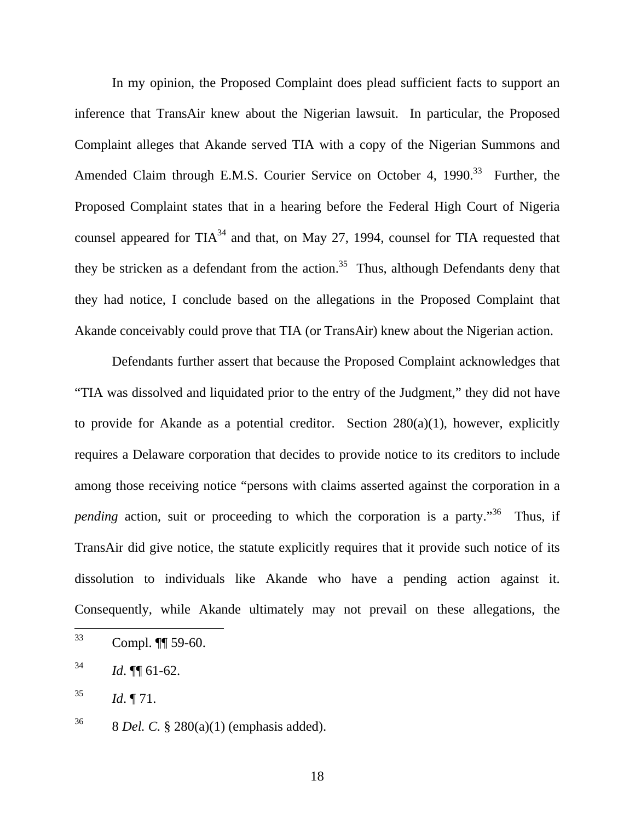In my opinion, the Proposed Complaint does plead sufficient facts to support an inference that TransAir knew about the Nigerian lawsuit. In particular, the Proposed Complaint alleges that Akande served TIA with a copy of the Nigerian Summons and Amended Claim through E.M.S. Courier Service on October 4, 1990.<sup>33</sup> Further, the Proposed Complaint states that in a hearing before the Federal High Court of Nigeria counsel appeared for  $TIA^{34}$  and that, on May 27, 1994, counsel for TIA requested that they be stricken as a defendant from the action.<sup>35</sup> Thus, although Defendants deny that they had notice, I conclude based on the allegations in the Proposed Complaint that Akande conceivably could prove that TIA (or TransAir) knew about the Nigerian action.

Defendants further assert that because the Proposed Complaint acknowledges that "TIA was dissolved and liquidated prior to the entry of the Judgment," they did not have to provide for Akande as a potential creditor. Section  $280(a)(1)$ , however, explicitly requires a Delaware corporation that decides to provide notice to its creditors to include among those receiving notice "persons with claims asserted against the corporation in a *pending* action, suit or proceeding to which the corporation is a party.<sup>"36</sup> Thus, if TransAir did give notice, the statute explicitly requires that it provide such notice of its dissolution to individuals like Akande who have a pending action against it. Consequently, while Akande ultimately may not prevail on these allegations, the

<sup>33</sup> Compl. ¶[ 59-60.

 $^{34}$  *Id.*  $\P$  61-62.

 $^{35}$  *Id.* 171.

<sup>36 8</sup> *Del. C.* § 280(a)(1) (emphasis added).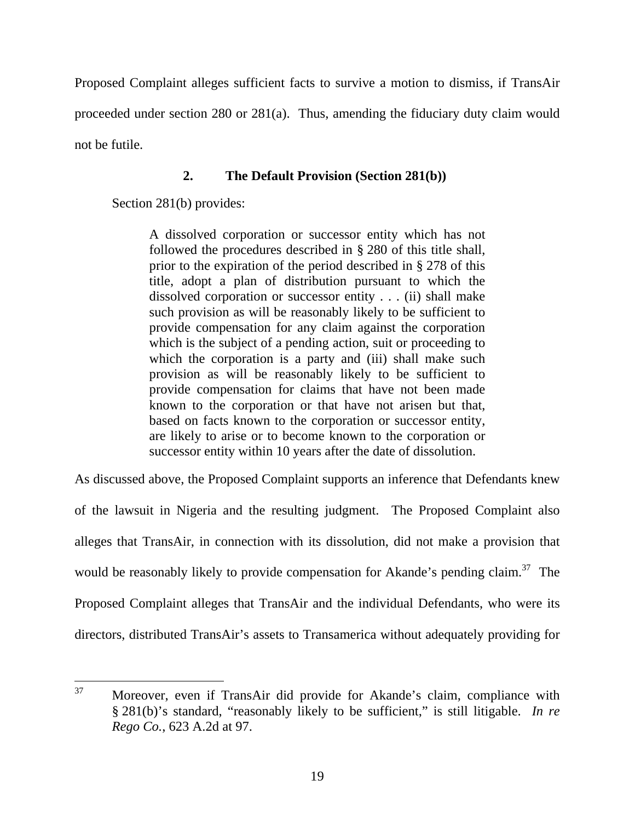Proposed Complaint alleges sufficient facts to survive a motion to dismiss, if TransAir proceeded under section 280 or 281(a). Thus, amending the fiduciary duty claim would not be futile.

## **2. The Default Provision (Section 281(b))**

Section 281(b) provides:

A dissolved corporation or successor entity which has not followed the procedures described in § 280 of this title shall, prior to the expiration of the period described in § 278 of this title, adopt a plan of distribution pursuant to which the dissolved corporation or successor entity . . . (ii) shall make such provision as will be reasonably likely to be sufficient to provide compensation for any claim against the corporation which is the subject of a pending action, suit or proceeding to which the corporation is a party and (iii) shall make such provision as will be reasonably likely to be sufficient to provide compensation for claims that have not been made known to the corporation or that have not arisen but that, based on facts known to the corporation or successor entity, are likely to arise or to become known to the corporation or successor entity within 10 years after the date of dissolution.

As discussed above, the Proposed Complaint supports an inference that Defendants knew of the lawsuit in Nigeria and the resulting judgment. The Proposed Complaint also alleges that TransAir, in connection with its dissolution, did not make a provision that would be reasonably likely to provide compensation for Akande's pending claim.<sup>37</sup> The Proposed Complaint alleges that TransAir and the individual Defendants, who were its directors, distributed TransAir's assets to Transamerica without adequately providing for

<sup>37</sup> Moreover, even if TransAir did provide for Akande's claim, compliance with § 281(b)'s standard, "reasonably likely to be sufficient," is still litigable. *In re Rego Co.*, 623 A.2d at 97.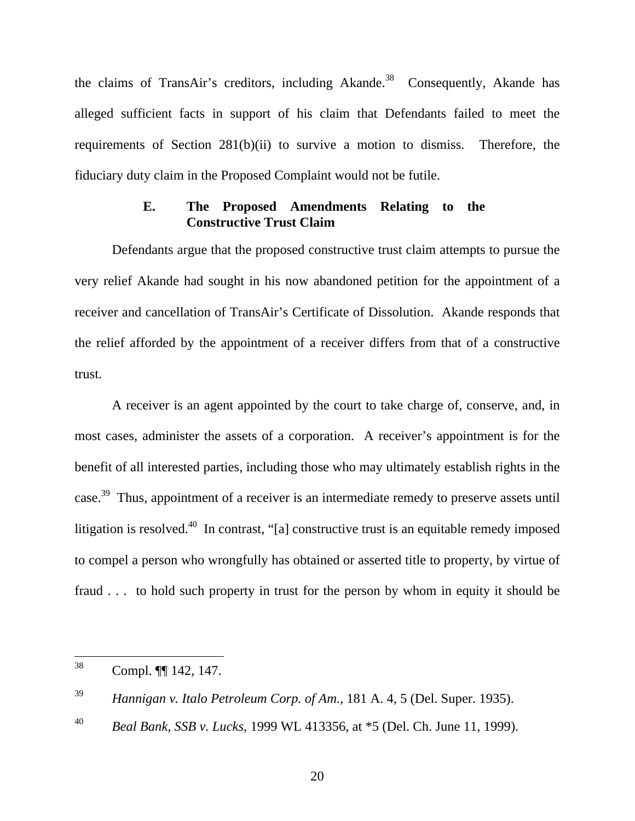the claims of TransAir's creditors, including Akande.<sup>38</sup> Consequently, Akande has alleged sufficient facts in support of his claim that Defendants failed to meet the requirements of Section 281(b)(ii) to survive a motion to dismiss. Therefore, the fiduciary duty claim in the Proposed Complaint would not be futile.

## **E. The Proposed Amendments Relating to the Constructive Trust Claim**

Defendants argue that the proposed constructive trust claim attempts to pursue the very relief Akande had sought in his now abandoned petition for the appointment of a receiver and cancellation of TransAir's Certificate of Dissolution. Akande responds that the relief afforded by the appointment of a receiver differs from that of a constructive trust.

A receiver is an agent appointed by the court to take charge of, conserve, and, in most cases, administer the assets of a corporation. A receiver's appointment is for the benefit of all interested parties, including those who may ultimately establish rights in the case.39 Thus, appointment of a receiver is an intermediate remedy to preserve assets until litigation is resolved.<sup>40</sup> In contrast, "[a] constructive trust is an equitable remedy imposed to compel a person who wrongfully has obtained or asserted title to property, by virtue of fraud . . . to hold such property in trust for the person by whom in equity it should be

<sup>38</sup> Compl. ¶[ 142, 147.

<sup>39</sup> *Hannigan v. Italo Petroleum Corp. of Am.*, 181 A. 4, 5 (Del. Super. 1935).

<sup>40</sup> *Beal Bank, SSB v. Lucks*, 1999 WL 413356, at \*5 (Del. Ch. June 11, 1999).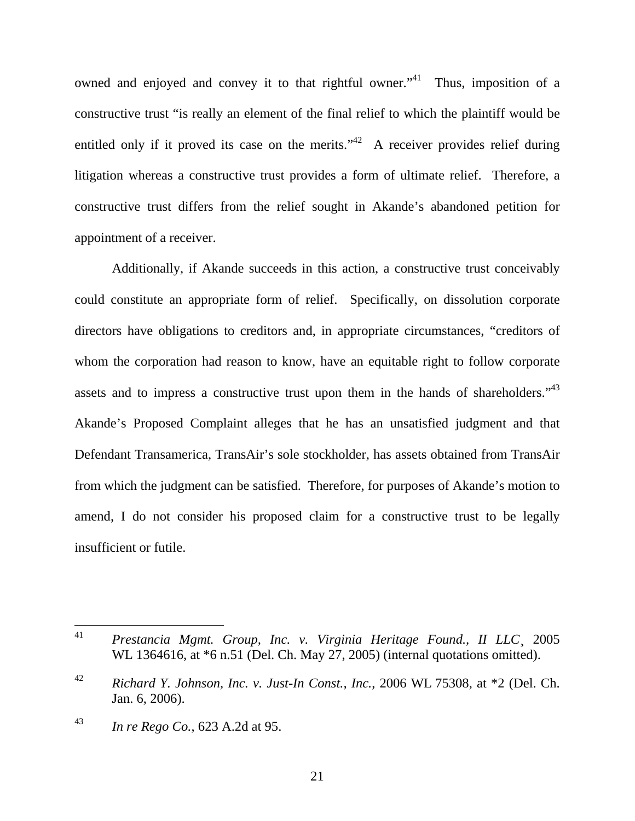owned and enjoyed and convey it to that rightful owner."<sup>41</sup> Thus, imposition of a constructive trust "is really an element of the final relief to which the plaintiff would be entitled only if it proved its case on the merits."<sup>42</sup> A receiver provides relief during litigation whereas a constructive trust provides a form of ultimate relief. Therefore, a constructive trust differs from the relief sought in Akande's abandoned petition for appointment of a receiver.

Additionally, if Akande succeeds in this action, a constructive trust conceivably could constitute an appropriate form of relief. Specifically, on dissolution corporate directors have obligations to creditors and, in appropriate circumstances, "creditors of whom the corporation had reason to know, have an equitable right to follow corporate assets and to impress a constructive trust upon them in the hands of shareholders."<sup>43</sup> Akande's Proposed Complaint alleges that he has an unsatisfied judgment and that Defendant Transamerica, TransAir's sole stockholder, has assets obtained from TransAir from which the judgment can be satisfied. Therefore, for purposes of Akande's motion to amend, I do not consider his proposed claim for a constructive trust to be legally insufficient or futile.

21

<sup>41</sup> <sup>41</sup> *Prestancia Mgmt. Group, Inc. v. Virginia Heritage Found., II LLC*¸ 2005 WL 1364616, at \*6 n.51 (Del. Ch. May 27, 2005) (internal quotations omitted).

<sup>42</sup> *Richard Y. Johnson, Inc. v. Just-In Const., Inc.*, 2006 WL 75308, at \*2 (Del. Ch. Jan. 6, 2006).

<sup>43</sup> *In re Rego Co.*, 623 A.2d at 95.